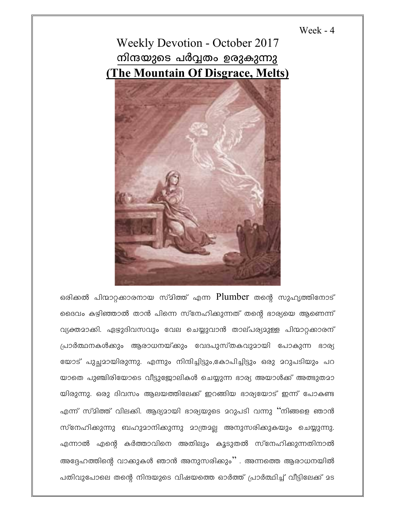## Week -  $4$





ഒരിക്കൽ പിന്മാറ്റക്കാരനായ സ്മിത്ത് എന്ന Plumber തന്റെ സുഹൃത്തിനോട് ദൈവം കഴിഞ്ഞാൽ താൻ പിന്നെ സ്നേഹിക്കുന്നത് തന്റെ ഭാര്യയെ ആണെന്ന് വ്യക്തമാക്കി. ഏഴുദിവസവും വേല ചെയ്യുവാൻ താല്പര്യമുള്ള പിന്മാറ്റക്കാരന് പ്രാർത്ഥനകൾക്കും ആരാധനയ്ക്കും വേദപുസ്തകവുമായി പോകുന്ന ഭാര്യ യോട് പുച്ഛമായിരുന്നു. എന്നും നിന്ദിച്ചിട്ടും,കോപിച്ചിട്ടും ഒരു മറുപടിയും പറ യാതെ പുഞ്ചിരിയോടെ വീട്ടുജോലികൾ ചെയ്യുന്ന ഭാര്യ അയാൾക്ക് അത്ഭുതമാ യിരുന്നു. ഒരു ദിവസം ആലയത്തിലേക്ക് ഇറങ്ങിയ ഭാര്യയോട് ഇന്ന് പോകണ്ട എന്ന് സ്മിത്ത് വിലക്കി. ആദ്യമായി ഭാര്യയുടെ മറുപടി വന്നു ''നിങ്ങളെ ഞാൻ സ്നേഹിക്കുന്നു ബഹുമാനിക്കുന്നു മാത്രമല്ല അനുസരിക്കുകയും ചെയ്യുന്നു. എന്നാൽ എന്റെ കർത്താവിനെ അതിലും കൂടുതൽ സ്നേഹിക്കുന്നതിനാൽ അദ്ദേഹത്തിന്റെ വാക്കുകൾ ഞാൻ അനുസരിക്കും'' . അന്നത്തെ ആരാധനയിൽ പതിവുപോലെ തന്റെ നിന്ദയുടെ വിഷയത്തെ ഓർത്ത് പ്രാർത്ഥിച്ച് വീട്ടിലേക്ക് മട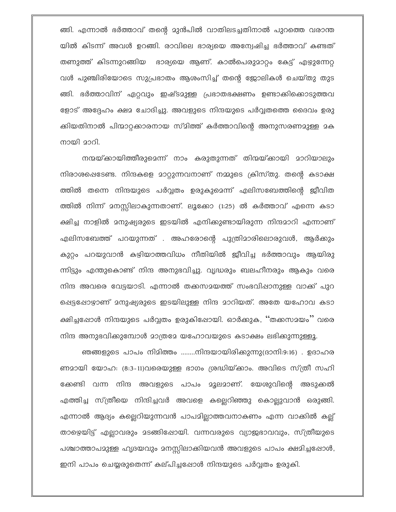ങ്ങി. എന്നാൽ ഭർത്താവ് തന്റെ മുൻപിൽ വാതിലടച്ചതിനാൽ പുറത്തെ വരാന്ത യിൽ കിടന്ന് അവൾ ഉറങ്ങി. രാവിലെ ഭാര്യയെ അന്വേഷിച്ച ഭർത്താവ് കണ്ടത് തണുത്ത് കിടന്നുറങ്ങിയ ഭാര്യയെ ആണ്. കാൽപെരുമാറ്റം കേട്ട് എഴുന്നേറ്റ വൾ പുഞ്ചിരിയോടെ സുപ്രഭാതം ആശംസിച്ച് തന്റെ ജോലികൾ ചെയ്തു തുട ങ്ങി. ഭർത്താവിന് ഏറ്റവും ഇഷ്ടമുള്ള പ്രഭാതഭക്ഷണം ഉണ്ടാക്കിക്കൊടുത്തവ ളോട് അദ്ദേഹം ക്ഷമ ചോദിച്ചു. അവളുടെ നിന്ദയുടെ പർവ്വതത്തെ ദൈവം ഉരു ക്കിയതിനാൽ പിന്മാറ്റക്കാരനായ സ്മിത്ത് കർത്താവിന്റെ അനുസരണമുള്ള മക നായി മാറി.

നന്മയ്ക്കായിത്തീരുമെന്ന് നാം കരുതുന്നത് തിന്മയ്ക്കായി മാറിയാലും നിരാശപ്പെടേണ്ട. നിന്ദകളെ മാറ്റുന്നവനാണ് നമ്മുടെ ക്രിസ്തു. തന്റെ കടാക്ഷ ത്തിൽ തന്നെ നിന്ദയുടെ പർവ്വതം ഉരുകുമെന്ന് എലിസബേത്തിന്റെ ജീവിത ത്തിൽ നിന്ന് മനസ്സിലാകുന്നതാണ്. ലൂക്കോ (1:25) ൽ കർത്താവ് എന്നെ കടാ ക്ഷിച്ച നാളിൽ മനുഷ്യരുടെ ഇടയിൽ എനിക്കുണ്ടായിരുന്ന നിന്ദമാറി എന്നാണ് എലിസബേത്ത് പറയുന്നത് . അഹരോന്റെ പുത്രിമാരിലൊരുവൾ, ആർക്കും കുറ്റം പറയുവാൻ കഴിയാത്തവിധം നീതിയിൽ ജീവിച്ച ഭർത്താവും ആയിരു ന്നിട്ടും എന്തുകൊണ്ട് നിന്ദ അനുഭവിച്ചു. വൃദ്ധരും ബലഹീനരും ആകും വരെ നിന്ദ അവരെ വേട്ടയാടി. എന്നാൽ തക്കസമയത്ത് സംഭവിഷാനുള്ള വാക്ക് പുറ ഷെട്ടഷോഴ്ാണ് മനുഷ്യരുടെ ഇടയിലുള്ള നിന്ദ മാറിയത്. അതേ യഹോവ കടാ ക്ഷിച്ചപ്പോൾ നിന്ദയുടെ പർവ്വതം ഉരുകിഷോയി. ഓർക്കുക, ''തക്കസമയം'' വരെ നിന്ദ അനുഭവിക്കുമ്പോൾ മാത്രമേ യഹോവയുടെ കടാക്ഷം ലഭിക്കുന്നുള്ളൂ.

ഞങ്ങളുടെ പാപം നിമിത്തം ........നിന്ദയായിരിക്കുന്നു(ദാനി:9:16) . ഉദാഹര ണമായി യോഹ: (8:3-11)വരെയുള്ള ഭാഗം ശ്രദ്ധിയ്ക്കാം. അവിടെ സ്ത്രീ സഹി ക്കേണ്ടി വന്ന നിന്ദ അവളുടെ പാപം മൂലമാണ്. യേശുവിന്റെ അടുക്കൽ എത്തിച്ച സ്ത്രീയെ നിന്ദിച്ചവർ അവളെ കല്ലെറിഞ്ഞു കൊല്ലുവാൻ ഒരുങ്ങി. എന്നാൽ ആദ്യം കല്ലെറിയുന്നവൻ പാപമില്ലാത്തവനാകണം എന്ന വാക്കിൽ കല്ല് താഴെയിട്ട് എല്ലാവരും മടങ്ങിഷോയി. വന്നവരുടെ വ്യാജഭാവവും, സ്ത്രീയുടെ പശ്ചാത്താപമുള്ള ഹൃദയവും മനസ്സിലാക്കിയവൻ അവളുടെ പാപം ക്ഷമിച്ചപ്പോൾ, ഇനി പാപം ചെയ്യരുതെന്ന് കല്പിച്ചപ്പോൾ നിന്ദയുടെ പർവ്വതം ഉരുകി.